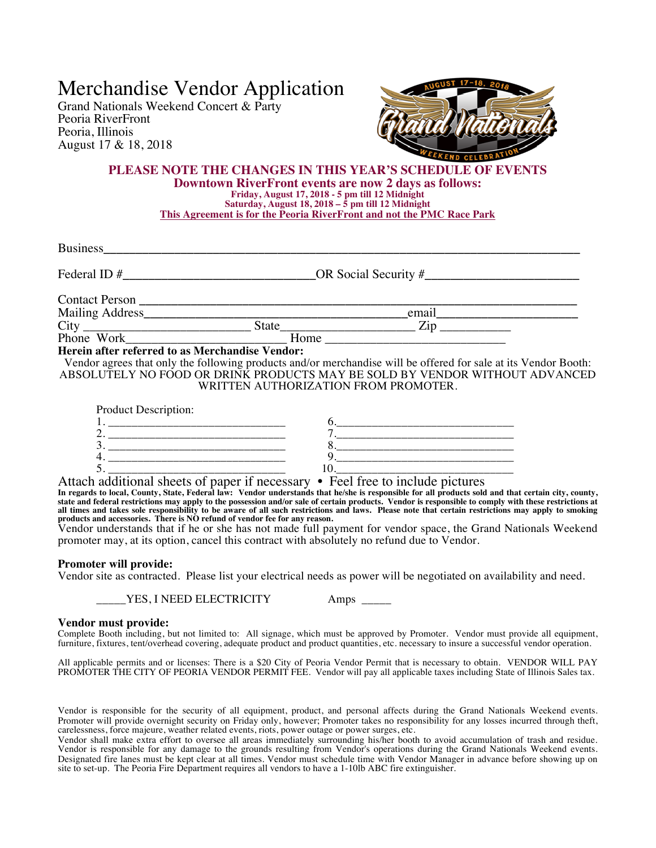# Merchandise Vendor Application

Grand Nationals Weekend Concert & Party Peoria RiverFront Peoria, Illinois August 17 & 18, 2018



## **PLEASE NOTE THE CHANGES IN THIS YEAR'S SCHEDULE OF EVENTS Downtown RiverFront events are now 2 days as follows: Friday, August 17, 2018 - 5 pm till 12 Midnight Saturday, August 18, 2018 – 5 pm till 12 Midnight This Agreement is for the Peoria RiverFront and not the PMC Race Park**

| <b>Business</b>                                 |       |                        |  |
|-------------------------------------------------|-------|------------------------|--|
| Federal ID#                                     |       | OR Social Security $#$ |  |
| Contact Person                                  |       |                        |  |
| Mailing Address_                                |       | email                  |  |
|                                                 | State | Zip                    |  |
| Phone Work                                      | Home  |                        |  |
| Herein after referred to as Merchandise Vendor: |       |                        |  |

Vendor agrees that only the following products and/or merchandise will be offered for sale at its Vendor Booth: ABSOLUTELY NO FOOD OR DRINK PRODUCTS MAY BE SOLD BY VENDOR WITHOUT ADVANCED WRITTEN AUTHORIZATION FROM PROMOTER.

| <b>Product Description:</b> |  |
|-----------------------------|--|
|                             |  |
|                             |  |
|                             |  |
|                             |  |
|                             |  |

Attach additional sheets of paper if necessary • Feel free to include pictures **In regards to local, County, State, Federal law: Vendor understands that he/she is responsible for all products sold and that certain city, county,**  state and federal restrictions may apply to the possession and/or sale of certain products. Vendor is responsible to comply with these restrictions at<br>all times and takes sole responsibility to be aware of all such restric

Vendor understands that if he or she has not made full payment for vendor space, the Grand Nationals Weekend promoter may, at its option, cancel this contract with absolutely no refund due to Vendor.

### **Promoter will provide:**

Vendor site as contracted. Please list your electrical needs as power will be negotiated on availability and need.

\_YES, I NEED ELECTRICITY Amps \_\_

### **Vendor must provide:**

Complete Booth including, but not limited to: All signage, which must be approved by Promoter. Vendor must provide all equipment, furniture, fixtures, tent/overhead covering, adequate product and product quantities, etc. necessary to insure a successful vendor operation.

All applicable permits and or licenses: There is a \$20 City of Peoria Vendor Permit that is necessary to obtain. VENDOR WILL PAY PROMOTER THE CITY OF PEORIA VENDOR PERMIT FEE. Vendor will pay all applicable taxes including State of Illinois Sales tax.

Vendor is responsible for the security of all equipment, product, and personal affects during the Grand Nationals Weekend events. Promoter will provide overnight security on Friday only, however; Promoter takes no responsibility for any losses incurred through theft, carelessness, force majeure, weather related events, riots, power outage or power surges, etc.

Vendor shall make extra effort to oversee all areas immediately surrounding his/her booth to avoid accumulation of trash and residue. Vendor is responsible for any damage to the grounds resulting from Vendor's operations during the Grand Nationals Weekend events. Designated fire lanes must be kept clear at all times. Vendor must schedule time with Vendor Manager in advance before showing up on site to set-up. The Peoria Fire Department requires all vendors to have a 1-10lb ABC fire extinguisher.